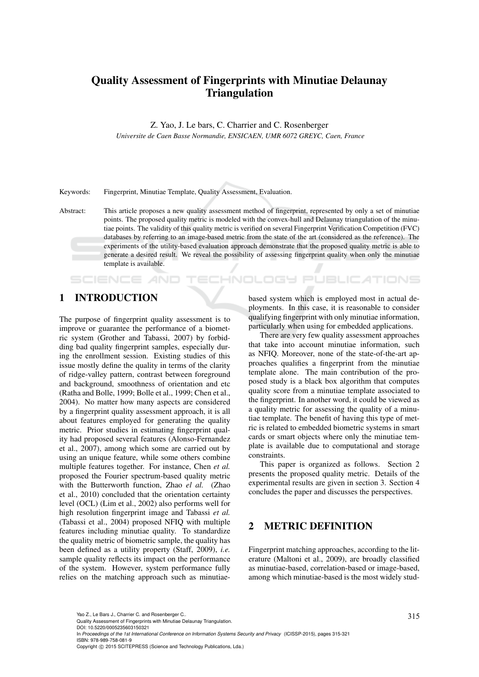# Quality Assessment of Fingerprints with Minutiae Delaunay **Triangulation**

Z. Yao, J. Le bars, C. Charrier and C. Rosenberger

*Universite de Caen Basse Normandie, ENSICAEN, UMR 6072 GREYC, Caen, France*

Keywords: Fingerprint, Minutiae Template, Quality Assessment, Evaluation.

IHNOLOGY Pl

# 1 INTRODUCTION

**SCIENCE AND** 

The purpose of fingerprint quality assessment is to improve or guarantee the performance of a biometric system (Grother and Tabassi, 2007) by forbidding bad quality fingerprint samples, especially during the enrollment session. Existing studies of this issue mostly define the quality in terms of the clarity of ridge-valley pattern, contrast between foreground and background, smoothness of orientation and etc (Ratha and Bolle, 1999; Bolle et al., 1999; Chen et al., 2004). No matter how many aspects are considered by a fingerprint quality assessment approach, it is all about features employed for generating the quality metric. Prior studies in estimating fingerprint quality had proposed several features (Alonso-Fernandez et al., 2007), among which some are carried out by using an unique feature, while some others combine multiple features together. For instance, Chen *et al.* proposed the Fourier spectrum-based quality metric with the Butterworth function, Zhao *el al.* (Zhao et al., 2010) concluded that the orientation certainty level (OCL) (Lim et al., 2002) also performs well for high resolution fingerprint image and Tabassi *et al.* (Tabassi et al., 2004) proposed NFIQ with multiple features including minutiae quality. To standardize the quality metric of biometric sample, the quality has been defined as a utility property (Staff, 2009), *i.e.* sample quality reflects its impact on the performance of the system. However, system performance fully relies on the matching approach such as minutiaebased system which is employed most in actual deployments. In this case, it is reasonable to consider qualifying fingerprint with only minutiae information, particularly when using for embedded applications.

**JBLIC ATIONS** 

There are very few quality assessment approaches that take into account minutiae information, such as NFIQ. Moreover, none of the state-of-the-art approaches qualifies a fingerprint from the minutiae template alone. The main contribution of the proposed study is a black box algorithm that computes quality score from a minutiae template associated to the fingerprint. In another word, it could be viewed as a quality metric for assessing the quality of a minutiae template. The benefit of having this type of metric is related to embedded biometric systems in smart cards or smart objects where only the minutiae template is available due to computational and storage constraints.

This paper is organized as follows. Section 2 presents the proposed quality metric. Details of the experimental results are given in section 3. Section 4 concludes the paper and discusses the perspectives.

# 2 METRIC DEFINITION

Fingerprint matching approaches, according to the literature (Maltoni et al., 2009), are broadly classified as minutiae-based, correlation-based or image-based, among which minutiae-based is the most widely stud-

Yao Z., Le Bars J., Charrier C. and Rosenberger C..<br>Quality Assessment of Fingerprints with Minutiae Delaunay Triangulation.

DOI: 10.5220/0005235603150321

In *Proceedings of the 1st International Conference on Information Systems Security and Privacy* (ICISSP-2015), pages 315-321 ISBN: 978-989-758-081-9

Abstract: This article proposes a new quality assessment method of fingerprint, represented by only a set of minutiae points. The proposed quality metric is modeled with the convex-hull and Delaunay triangulation of the minutiae points. The validity of this quality metric is verified on several Fingerprint Verification Competition (FVC) databases by referring to an image-based metric from the state of the art (considered as the reference). The experiments of the utility-based evaluation approach demonstrate that the proposed quality metric is able to generate a desired result. We reveal the possibility of assessing fingerprint quality when only the minutiae template is available.

Copyright © 2015 SCITEPRESS (Science and Technology Publications, Lda.)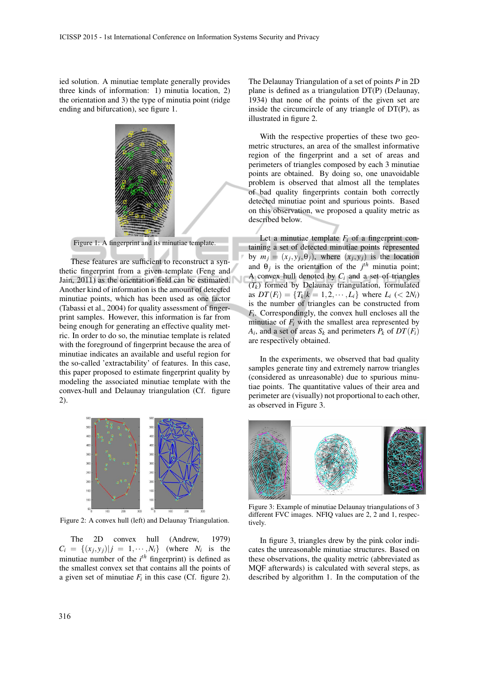ied solution. A minutiae template generally provides three kinds of information: 1) minutia location, 2) the orientation and 3) the type of minutia point (ridge ending and bifurcation), see figure 1.



Figure 1: A fingerprint and its minutiae template.

These features are sufficient to reconstruct a synthetic fingerprint from a given template (Feng and Jain, 2011) as the orientation field can be estimated. Another kind of information is the amount of detected minutiae points, which has been used as one factor (Tabassi et al., 2004) for quality assessment of fingerprint samples. However, this information is far from being enough for generating an effective quality metric. In order to do so, the minutiae template is related with the foreground of fingerprint because the area of minutiae indicates an available and useful region for the so-called 'extractability' of features. In this case, this paper proposed to estimate fingerprint quality by modeling the associated minutiae template with the convex-hull and Delaunay triangulation (Cf. figure 2).



Figure 2: A convex hull (left) and Delaunay Triangulation.

The 2D convex hull (Andrew, 1979)  $C_i = \{(x_j, y_j) | j = 1, \cdots, N_i\}$  (where  $N_i$  is the minutiae number of the *i th* fingerprint) is defined as the smallest convex set that contains all the points of a given set of minutiae  $F_i$  in this case (Cf. figure 2).

The Delaunay Triangulation of a set of points *P* in 2D plane is defined as a triangulation DT(P) (Delaunay, 1934) that none of the points of the given set are inside the circumcircle of any triangle of DT(P), as illustrated in figure 2.

With the respective properties of these two geometric structures, an area of the smallest informative region of the fingerprint and a set of areas and perimeters of triangles composed by each 3 minutiae points are obtained. By doing so, one unavoidable problem is observed that almost all the templates of bad quality fingerprints contain both correctly detected minutiae point and spurious points. Based on this observation, we proposed a quality metric as described below.

Let a minutiae template  $F_i$  of a fingerprint containing a set of detected minutiae points represented by  $m_j = (x_j, y_j, \theta_j)$ , where  $(x_j, y_j)$  is the location and  $\theta_j$  is the orientation of the  $j^{th}$  minutia point; A convex hull denoted by  $C_i$  and a set of triangles  $(T_k)$  formed by Delaunay triangulation, formulated as  $DT(F_i) = \{T_k | k = 1, 2, \dots, L_i\}$  where  $L_i \leq 2N_i$ is the number of triangles can be constructed from *Fi* . Correspondingly, the convex hull encloses all the minutiae of  $F_i$  with the smallest area represented by  $A_i$ , and a set of areas  $S_k$  and perimeters  $P_k$  of  $DT(F_i)$ are respectively obtained.

In the experiments, we observed that bad quality samples generate tiny and extremely narrow triangles (considered as unreasonable) due to spurious minutiae points. The quantitative values of their area and perimeter are (visually) not proportional to each other, as observed in Figure 3.



Figure 3: Example of minutiae Delaunay triangulations of 3 different FVC images. NFIQ values are 2, 2 and 1, respectively.

In figure 3, triangles drew by the pink color indicates the unreasonable minutiae structures. Based on these observations, the quality metric (abbreviated as MQF afterwards) is calculated with several steps, as described by algorithm 1. In the computation of the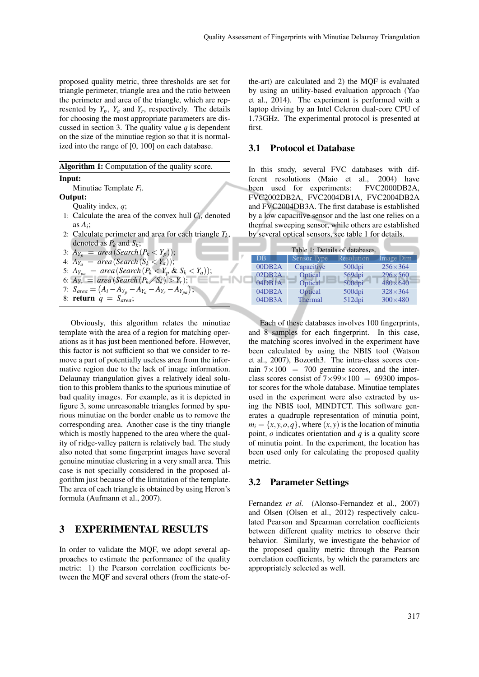proposed quality metric, three thresholds are set for triangle perimeter, triangle area and the ratio between the perimeter and area of the triangle, which are represented by  $Y_p$ ,  $Y_a$  and  $Y_r$ , respectively. The details for choosing the most appropriate parameters are discussed in section 3. The quality value  $q$  is dependent on the size of the minutiae region so that it is normalized into the range of [0, 100] on each database.

Algorithm 1: Computation of the quality score.

#### Input:

Minutiae Template *F<sup>i</sup>* .

#### Output:

Quality index, *q*;

- 1: Calculate the area of the convex hull  $C_i$ , denoted as  $A_i$ ;
- 2: Calculate perimeter and area for each triangle  $T_k$ , denoted as  $P_k$  and  $S_k$ ;

;

3:  $A_{Y_p} = area(Search(P_k < Y_p));$ 

- 4:  $A_{Y_a} = area(Search(S_k < Y_a));$
- 5:  $A_{Y_{pa}} = \text{area}(\text{Search}(P_k < Y_p \& S_k < Y_a));$

6: 
$$
A_{Y_r}^{\mu}
$$
 = area (Search  $(P_k/S_k) > Y_r$ );

7: 
$$
S_{area} = (A_i - A_{Y_p} - A_{Y_a} - A_{Y_r} - A_{Y_{pa}})
$$

8: return *q* = *Sarea*;

Obviously, this algorithm relates the minutiae template with the area of a region for matching operations as it has just been mentioned before. However, this factor is not sufficient so that we consider to remove a part of potentially useless area from the informative region due to the lack of image information. Delaunay triangulation gives a relatively ideal solution to this problem thanks to the spurious minutiae of bad quality images. For example, as it is depicted in figure 3, some unreasonable triangles formed by spurious minutiae on the border enable us to remove the corresponding area. Another case is the tiny triangle which is mostly happened to the area where the quality of ridge-valley pattern is relatively bad. The study also noted that some fingerprint images have several genuine minutiae clustering in a very small area. This case is not specially considered in the proposed algorithm just because of the limitation of the template. The area of each triangle is obtained by using Heron's formula (Aufmann et al., 2007).

## 3 EXPERIMENTAL RESULTS

In order to validate the MQF, we adopt several approaches to estimate the performance of the quality metric: 1) the Pearson correlation coefficients between the MQF and several others (from the state-of-

the-art) are calculated and 2) the MQF is evaluated by using an utility-based evaluation approach (Yao et al., 2014). The experiment is performed with a laptop driving by an Intel Celeron dual-core CPU of 1.73GHz. The experimental protocol is presented at first.

#### 3.1 Protocol et Database

In this study, several FVC databases with different resolutions (Maio et al., 2004) have been used for experiments: FVC2000DB2A, FVC2002DB2A, FVC2004DB1A, FVC2004DB2A and FVC2004DB3A. The first database is established by a low capacitive sensor and the last one relies on a thermal sweeping sensor, while others are established by several optical sensors, see table 1 for details.

| Table 1: Details of databases. |                    |            |                  |  |
|--------------------------------|--------------------|------------|------------------|--|
| DB                             | <b>Sensor</b> Type | Resolution | <b>Image Dim</b> |  |
| 00DB2A                         | Capacitive         | 500dpi     | $256 \times 364$ |  |
| 02DB2A                         | Optical            | 569dpi     | $296 \times 560$ |  |
| 04DB1A                         | Optical            | 500dpi     | $480\times 640$  |  |
| 04DB2A                         | Optical            | 500dpi     | $328\times364$   |  |
| 04DB3A                         | <b>Thermal</b>     | 512dpi     | $300\times480$   |  |

Each of these databases involves 100 fingerprints, and 8 samples for each fingerprint. In this case, the matching scores involved in the experiment have been calculated by using the NBIS tool (Watson et al., 2007), Bozorth3. The intra-class scores contain  $7 \times 100 = 700$  genuine scores, and the interclass scores consist of  $7 \times 99 \times 100 = 69300$  impostor scores for the whole database. Minutiae templates used in the experiment were also extracted by using the NBIS tool, MINDTCT. This software generates a quadruple representation of minutia point,  $m_i = \{x, y, o, q\}$ , where  $(x, y)$  is the location of minutia point, *o* indicates orientation and *q* is a quality score of minutia point. In the experiment, the location has been used only for calculating the proposed quality metric.

#### 3.2 Parameter Settings

Fernandez *et al.* (Alonso-Fernandez et al., 2007) and Olsen (Olsen et al., 2012) respectively calculated Pearson and Spearman correlation coefficients between different quality metrics to observe their behavior. Similarly, we investigate the behavior of the proposed quality metric through the Pearson correlation coefficients, by which the parameters are appropriately selected as well.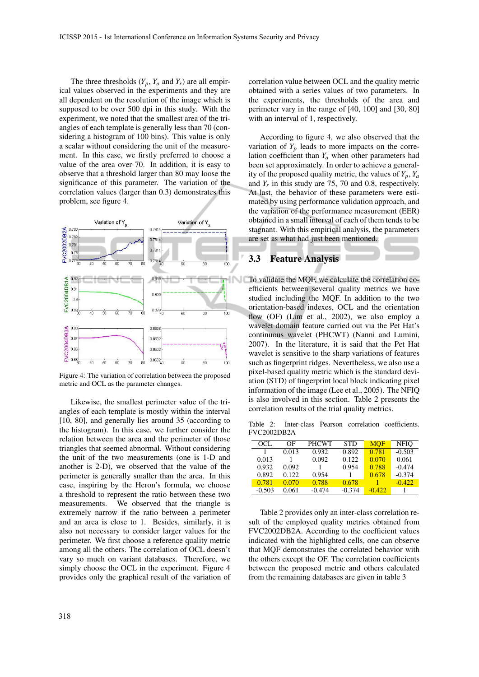The three thresholds  $(Y_p, Y_a$  and  $Y_r$ ) are all empirical values observed in the experiments and they are all dependent on the resolution of the image which is supposed to be over 500 dpi in this study. With the experiment, we noted that the smallest area of the triangles of each template is generally less than 70 (considering a histogram of 100 bins). This value is only a scalar without considering the unit of the measurement. In this case, we firstly preferred to choose a value of the area over 70. In addition, it is easy to observe that a threshold larger than 80 may loose the significance of this parameter. The variation of the correlation values (larger than 0.3) demonstrates this problem, see figure 4.



Figure 4: The variation of correlation between the proposed metric and OCL as the parameter changes.

Likewise, the smallest perimeter value of the triangles of each template is mostly within the interval [10, 80], and generally lies around 35 (according to the histogram). In this case, we further consider the relation between the area and the perimeter of those triangles that seemed abnormal. Without considering the unit of the two measurements (one is 1-D and another is 2-D), we observed that the value of the perimeter is generally smaller than the area. In this case, inspiring by the Heron's formula, we choose a threshold to represent the ratio between these two measurements. We observed that the triangle is extremely narrow if the ratio between a perimeter and an area is close to 1. Besides, similarly, it is also not necessary to consider larger values for the perimeter. We first choose a reference quality metric among all the others. The correlation of OCL doesn't vary so much on variant databases. Therefore, we simply choose the OCL in the experiment. Figure 4 provides only the graphical result of the variation of correlation value between OCL and the quality metric obtained with a series values of two parameters. In the experiments, the thresholds of the area and perimeter vary in the range of [40, 100] and [30, 80] with an interval of 1, respectively.

According to figure 4, we also observed that the variation of  $Y_p$  leads to more impacts on the correlation coefficient than  $Y_a$  when other parameters had been set approximately. In order to achieve a generality of the proposed quality metric, the values of  $Y_p$ ,  $Y_a$ and  $Y_r$  in this study are 75, 70 and 0.8, respectively. At last, the behavior of these parameters were estimated by using performance validation approach, and the variation of the performance measurement (EER) obtained in a small interval of each of them tends to be stagnant. With this empirical analysis, the parameters are set as what had just been mentioned.

# 3.3 Feature Analysis

To validate the MQF, we calculate the correlation coefficients between several quality metrics we have studied including the MQF. In addition to the two orientation-based indexes, OCL and the orientation flow (OF) (Lim et al., 2002), we also employ a wavelet domain feature carried out via the Pet Hat's continuous wavelet (PHCWT) (Nanni and Lumini, 2007). In the literature, it is said that the Pet Hat wavelet is sensitive to the sharp variations of features such as fingerprint ridges. Nevertheless, we also use a pixel-based quality metric which is the standard deviation (STD) of fingerprint local block indicating pixel information of the image (Lee et al., 2005). The NFIQ is also involved in this section. Table 2 presents the correlation results of the trial quality metrics.

Table 2: Inter-class Pearson correlation coefficients. FVC2002DB2A

| OCL.     | OΕ    | <b>PHCWT</b> | <b>STD</b> | <b>MOF</b> | <b>NFIO</b> |
|----------|-------|--------------|------------|------------|-------------|
|          | 0.013 | 0.932        | 0.892      | 0.781      | $-0.503$    |
| 0.013    |       | 0.092        | 0.122      | 0.070      | 0.061       |
| 0.932    | 0.092 |              | 0.954      | 0.788      | $-0.474$    |
| 0.892    | 0.122 | 0.954        |            | 0.678      | $-0.374$    |
| 0.781    | 0.070 | 0.788        | 0.678      |            | $-0.422$    |
| $-0.503$ | 0.061 | $-0.474$     | $-0.374$   | $-0.422$   |             |

Table 2 provides only an inter-class correlation result of the employed quality metrics obtained from FVC2002DB2A. According to the coefficient values indicated with the highlighted cells, one can observe that MQF demonstrates the correlated behavior with the others except the OF. The correlation coefficients between the proposed metric and others calculated from the remaining databases are given in table 3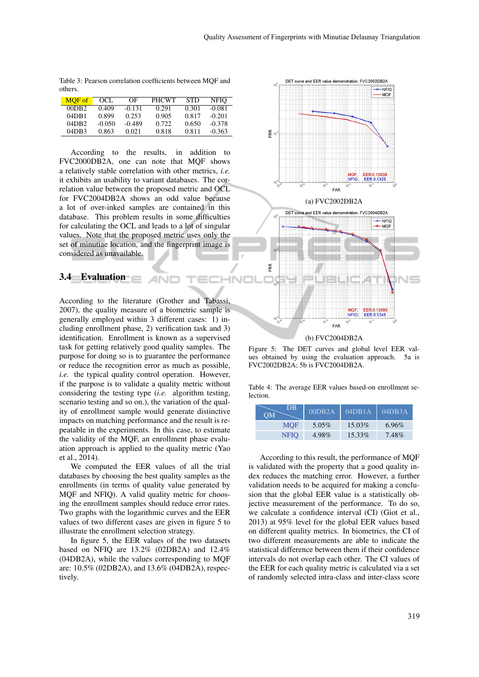|         | Table 3: Pearson correlation coefficients between MOF and |  |  |
|---------|-----------------------------------------------------------|--|--|
| others. |                                                           |  |  |

| MOF of | OCL.     | ΩF       | <b>PHCWT</b> | <b>STD</b> | <b>NFIO</b> |
|--------|----------|----------|--------------|------------|-------------|
| 00DB2  | 0.409    | $-0.131$ | 0.291        | 0.301      | $-0.081$    |
| 04DB1  | 0.899    | 0.253    | 0.905        | 0.817      | $-0.201$    |
| 04DB2  | $-0.050$ | $-0.489$ | 0.722        | 0.650      | $-0.378$    |
| 04DB3  | 0.863    | 0.021    | 0.818        | 0.811      | $-0.363$    |

According to the results, in addition to FVC2000DB2A, one can note that MQF shows a relatively stable correlation with other metrics, *i.e.* it exhibits an usability to variant databases. The correlation value between the proposed metric and OCL for FVC2004DB2A shows an odd value because a lot of over-inked samples are contained in this database. This problem results in some difficulties for calculating the OCL and leads to a lot of singular values. Note that the proposed metric uses only the set of minutiae location, and the fingerprint image is considered as unavailable.

INC

### 3.4 Evaluation

According to the literature (Grother and Tabassi, 2007), the quality measure of a biometric sample is generally employed within 3 different cases: 1) including enrollment phase, 2) verification task and 3) identification. Enrollment is known as a supervised task for getting relatively good quality samples. The purpose for doing so is to guarantee the performance or reduce the recognition error as much as possible, *i.e.* the typical quality control operation. However, if the purpose is to validate a quality metric without considering the testing type (*i.e.* algorithm testing, scenario testing and so on.), the variation of the quality of enrollment sample would generate distinctive impacts on matching performance and the result is repeatable in the experiments. In this case, to estimate the validity of the MQF, an enrollment phase evaluation approach is applied to the quality metric (Yao et al., 2014).

We computed the EER values of all the trial databases by choosing the best quality samples as the enrollments (in terms of quality value generated by MQF and NFIQ). A valid quality metric for choosing the enrollment samples should reduce error rates. Two graphs with the logarithmic curves and the EER values of two different cases are given in figure 5 to illustrate the enrollment selection strategy.

In figure 5, the EER values of the two datasets based on NFIQ are 13.2% (02DB2A) and 12.4% (04DB2A), while the values corresponding to MQF are: 10.5% (02DB2A), and 13.6% (04DB2A), respectively.



Figure 5: The DET curves and global level EER values obtained by using the evaluation approach. 5a is FVC2002DB2A; 5b is FVC2004DB2A.

Table 4: The average EER values based-on enrollment selection.

| DB.<br>OM | 00DB2A   | 04DB1A    | 04DB3A   |
|-----------|----------|-----------|----------|
| MOF       | $5.05\%$ | 15.03%    | $6.96\%$ |
| NFIO      | 4.98%    | $15.33\%$ | 7.48%    |

According to this result, the performance of MQF is validated with the property that a good quality index reduces the matching error. However, a further validation needs to be acquired for making a conclusion that the global EER value is a statistically objective measurement of the performance. To do so, we calculate a confidence interval (CI) (Giot et al., 2013) at 95% level for the global EER values based on different quality metrics. In biometrics, the CI of two different measurements are able to indicate the statistical difference between them if their confidence intervals do not overlap each other. The CI values of the EER for each quality metric is calculated via a set of randomly selected intra-class and inter-class score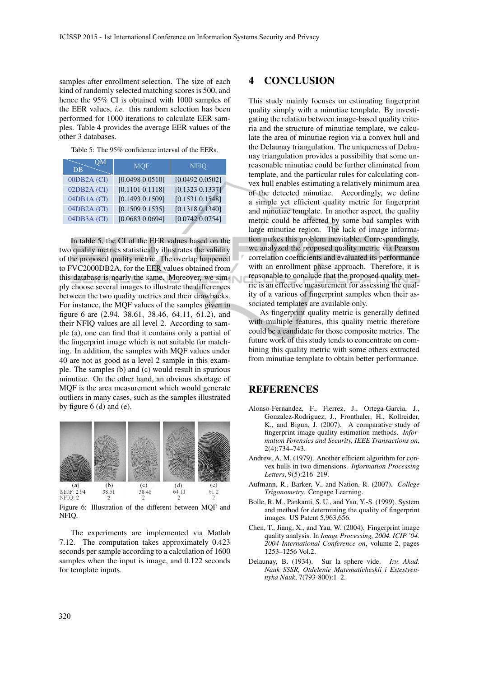samples after enrollment selection. The size of each kind of randomly selected matching scores is 500, and hence the 95% CI is obtained with 1000 samples of the EER values, *i.e.* this random selection has been performed for 1000 iterations to calculate EER samples. Table 4 provides the average EER values of the other 3 databases.

Table 5: The 95% confidence interval of the EERs.

| OM<br><b>DB</b> | <b>MQF</b>      | <b>NFIQ</b>     |
|-----------------|-----------------|-----------------|
| 00DB2A (CI)     | [0.0498 0.0510] | [0.0492 0.0502] |
| 02DB2A (CI)     | [0.1101 0.1118] | [0.1323 0.1337] |
| $04DB1A$ (CI)   | [0.1493 0.1509] | [0.1531 0.1548] |
| 04DB2A (CI)     | [0.1509 0.1535] | [0.1318 0.1340] |
| $04DB3A$ (CI)   | [0.0683 0.0694] | [0.0742 0.0754] |

In table 5, the CI of the EER values based on the two quality metrics statistically illustrates the validity of the proposed quality metric. The overlap happened to FVC2000DB2A, for the EER values obtained from this database is nearly the same. Moreover, we simply choose several images to illustrate the differences between the two quality metrics and their drawbacks. For instance, the MQF values of the samples given in figure 6 are (2.94, 38.61, 38.46, 64.11, 61.2), and their NFIQ values are all level 2. According to sample (a), one can find that it contains only a partial of the fingerprint image which is not suitable for matching. In addition, the samples with MQF values under 40 are not as good as a level 2 sample in this example. The samples (b) and (c) would result in spurious minutiae. On the other hand, an obvious shortage of MQF is the area measurement which would generate outliers in many cases, such as the samples illustrated by figure  $6$  (d) and (e).



Figure 6: Illustration of the different between MQF and NFIQ.

The experiments are implemented via Matlab 7.12. The computation takes approximately 0.423 seconds per sample according to a calculation of 1600 samples when the input is image, and 0.122 seconds for template inputs.

### 4 CONCLUSION

This study mainly focuses on estimating fingerprint quality simply with a minutiae template. By investigating the relation between image-based quality criteria and the structure of minutiae template, we calculate the area of minutiae region via a convex hull and the Delaunay triangulation. The uniqueness of Delaunay triangulation provides a possibility that some unreasonable minutiae could be further eliminated from template, and the particular rules for calculating convex hull enables estimating a relatively minimum area of the detected minutiae. Accordingly, we define a simple yet efficient quality metric for fingerprint and minutiae template. In another aspect, the quality metric could be affected by some bad samples with large minutiae region. The lack of image information makes this problem inevitable. Correspondingly, we analyzed the proposed quality metric via Pearson correlation coefficients and evaluated its performance with an enrollment phase approach. Therefore, it is reasonable to conclude that the proposed quality metric is an effective measurement for assessing the quality of a various of fingerprint samples when their associated templates are available only.

As fingerprint quality metric is generally defined with multiple features, this quality metric therefore could be a candidate for those composite metrics. The future work of this study tends to concentrate on combining this quality metric with some others extracted from minutiae template to obtain better performance.

### REFERENCES

- Alonso-Fernandez, F., Fierrez, J., Ortega-Garcia, J., Gonzalez-Rodriguez, J., Fronthaler, H., Kollreider, K., and Bigun, J. (2007). A comparative study of fingerprint image-quality estimation methods. *Information Forensics and Security, IEEE Transactions on*, 2(4):734–743.
- Andrew, A. M. (1979). Another efficient algorithm for convex hulls in two dimensions. *Information Processing Letters*, 9(5):216–219.
- Aufmann, R., Barker, V., and Nation, R. (2007). *College Trigonometry*. Cengage Learning.
- Bolle, R. M., Pankanti, S. U., and Yao, Y.-S. (1999). System and method for determining the quality of fingerprint images. US Patent 5,963,656.
- Chen, T., Jiang, X., and Yau, W. (2004). Fingerprint image quality analysis. In *Image Processing, 2004. ICIP '04. 2004 International Conference on*, volume 2, pages 1253–1256 Vol.2.
- Delaunay, B. (1934). Sur la sphere vide. *Izv. Akad. Nauk SSSR, Otdelenie Matematicheskii i Estestvennyka Nauk*, 7(793-800):1–2.